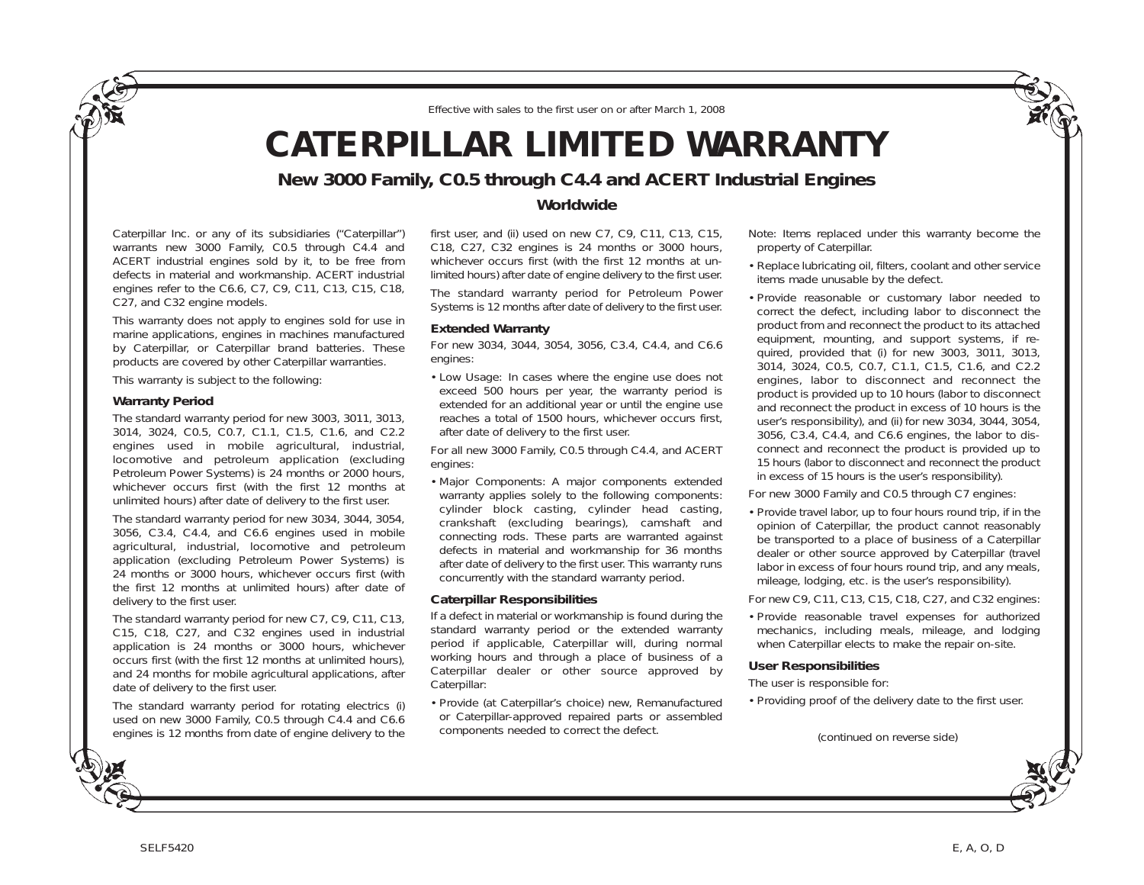*Effective with sales to the first user on or after March 1, 2008*

# **CATERPILLAR LIMITED WARRANTY**

## **New 3000 Family, C0.5 through C4.4 and ACERT Industrial Engines**

Caterpillar Inc. or any of its subsidiaries ("Caterpillar") warrants new 3000 Family, C0.5 through C4.4 and ACERT industrial engines sold by it, to be free from defects in material and workmanship. ACERT industrial engines refer to the C6.6, C7, C9, C11, C13, C15, C18, C27, and C32 engine models.

This warranty does not apply to engines sold for use in marine applications, engines in machines manufactured by Caterpillar, or Caterpillar brand batteries. These products are covered by other Caterpillar warranties.

This warranty is subject to the following:

#### **Warranty Period**

The standard warranty period for new 3003, 3011, 3013, 3014, 3024, C0.5, C0.7, C1.1, C1.5, C1.6, and C2.2 engines used in mobile agricultural, industrial, locomotive and petroleum application (excluding Petroleum Power Systems) is 24 months or 2000 hours, whichever occurs first (with the first 12 months at unlimited hours) after date of delivery to the first user.

The standard warranty period for new 3034, 3044, 3054, 3056, C3.4, C4.4, and C6.6 engines used in mobile agricultural, industrial, locomotive and petroleum application (excluding Petroleum Power Systems) is 24 months or 3000 hours, whichever occurs first (with the first 12 months at unlimited hours) after date of delivery to the first user.

The standard warranty period for new C7, C9, C11, C13, C15, C18, C27, and C32 engines used in industrial application is 24 months or 3000 hours, whichever occurs first (with the first 12 months at unlimited hours), and 24 months for mobile agricultural applications, after date of delivery to the first user.

The standard warranty period for rotating electrics (i) used on new 3000 Family, C0.5 through C4.4 and C6.6 engines is 12 months from date of engine delivery to the

### **Worldwide**

first user, and (ii) used on new C7, C9, C11, C13, C15, C18, C27, C32 engines is 24 months or 3000 hours, whichever occurs first (with the first 12 months at unlimited hours) after date of engine delivery to the first user.

The standard warranty period for Petroleum Power Systems is 12 months after date of delivery to the first user.

#### **Extended Warranty**

For new 3034, 3044, 3054, 3056, C3.4, C4.4, and C6.6 engines:

• Low Usage: In cases where the engine use does not exceed 500 hours per year, the warranty period is extended for an additional year or until the engine use reaches a total of 1500 hours, whichever occurs first, after date of delivery to the first user.

For all new 3000 Family, C0.5 through C4.4, and ACERT engines:

• Major Components: A major components extended warranty applies solely to the following components: cylinder block casting, cylinder head casting, crankshaft (excluding bearings), camshaft and connecting rods. These parts are warranted against defects in material and workmanship for 36 months after date of delivery to the first user. This warranty runs concurrently with the standard warranty period.

#### **Caterpillar Responsibilities**

If a defect in material or workmanship is found during the standard warranty period or the extended warranty period if applicable, Caterpillar will, during normal working hours and through a place of business of a Caterpillar dealer or other source approved by Caterpillar:

• Provide (at Caterpillar's choice) new, Remanufactured or Caterpillar-approved repaired parts or assembled components needed to correct the defect.

Note: Items replaced under this warranty become the property of Caterpillar.

- Replace lubricating oil, filters, coolant and other service items made unusable by the defect.
- Provide reasonable or customary labor needed to correct the defect, including labor to disconnect the product from and reconnect the product to its attached equipment, mounting, and support systems, if required, provided that (i) for new 3003, 3011, 3013, 3014, 3024, C0.5, C0.7, C1.1, C1.5, C1.6, and C2.2 engines, labor to disconnect and reconnect the product is provided up to 10 hours (labor to disconnect and reconnect the product in excess of 10 hours is the user's responsibility), and (ii) for new 3034, 3044, 3054, 3056, C3.4, C4.4, and C6.6 engines, the labor to disconnect and reconnect the product is provided up to 15 hours (labor to disconnect and reconnect the product in excess of 15 hours is the user's responsibility).

For new 3000 Family and C0.5 through C7 engines:

• Provide travel labor, up to four hours round trip, if in the opinion of Caterpillar, the product cannot reasonably be transported to a place of business of a Caterpillar dealer or other source approved by Caterpillar (travel labor in excess of four hours round trip, and any meals, mileage, lodging, etc. is the user's responsibility).

For new C9, C11, C13, C15, C18, C27, and C32 engines:

• Provide reasonable travel expenses for authorized mechanics, including meals, mileage, and lodging when Caterpillar elects to make the repair on-site.

#### **User Responsibilities**

The user is responsible for:

• Providing proof of the delivery date to the first user.

*(continued on reverse side)*